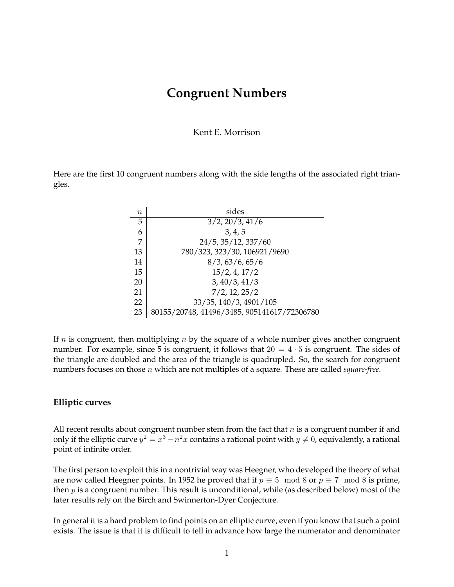## **Congruent Numbers**

Kent E. Morrison

Here are the first 10 congruent numbers along with the side lengths of the associated right triangles.

| $\it{n}$ | sides                                       |
|----------|---------------------------------------------|
| 5        | 3/2, 20/3, 41/6                             |
| 6        | 3, 4, 5                                     |
| 7        | 24/5, 35/12, 337/60                         |
| 13       | 780/323, 323/30, 106921/9690                |
| 14       | 8/3, 63/6, 65/6                             |
| 15       | 15/2, 4, 17/2                               |
| 20       | 3, 40/3, 41/3                               |
| 21       | $7/2$ , 12, 25/2                            |
| 22       | 33/35, 140/3, 4901/105                      |
| 23       | 80155/20748, 41496/3485, 905141617/72306780 |

If  $n$  is congruent, then multiplying  $n$  by the square of a whole number gives another congruent number. For example, since 5 is congruent, it follows that  $20 = 4 \cdot 5$  is congruent. The sides of the triangle are doubled and the area of the triangle is quadrupled. So, the search for congruent numbers focuses on those n which are not multiples of a square. These are called *square-free*.

## **Elliptic curves**

All recent results about congruent number stem from the fact that  $n$  is a congruent number if and only if the elliptic curve  $y^2 = x^3 - n^2x$  contains a rational point with  $y \neq 0$ , equivalently, a rational point of infinite order.

The first person to exploit this in a nontrivial way was Heegner, who developed the theory of what are now called Heegner points. In 1952 he proved that if  $p \equiv 5 \mod 8$  or  $p \equiv 7 \mod 8$  is prime, then  $p$  is a congruent number. This result is unconditional, while (as described below) most of the later results rely on the Birch and Swinnerton-Dyer Conjecture.

In general it is a hard problem to find points on an elliptic curve, even if you know that such a point exists. The issue is that it is difficult to tell in advance how large the numerator and denominator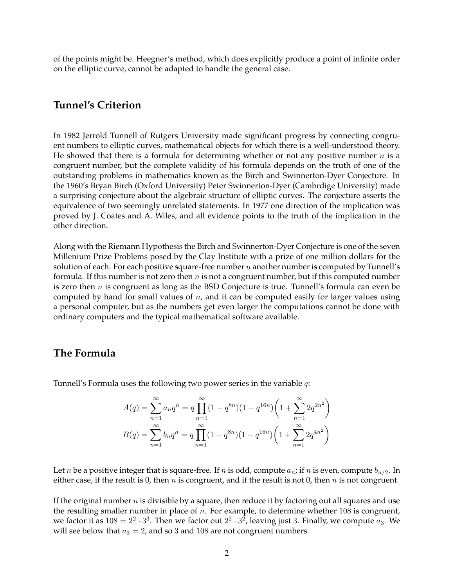of the points might be. Heegner's method, which does explicitly produce a point of infinite order on the elliptic curve, cannot be adapted to handle the general case.

## **Tunnel's Criterion**

In 1982 Jerrold Tunnell of Rutgers University made significant progress by connecting congruent numbers to elliptic curves, mathematical objects for which there is a well-understood theory. He showed that there is a formula for determining whether or not any positive number  $n$  is a congruent number, but the complete validity of his formula depends on the truth of one of the outstanding problems in mathematics known as the Birch and Swinnerton-Dyer Conjecture. In the 1960's Bryan Birch (Oxford University) Peter Swinnerton-Dyer (Cambrdige University) made a surprising conjecture about the algebraic structure of elliptic curves. The conjecture asserts the equivalence of two seemingly unrelated statements. In 1977 one direction of the implication was proved by J. Coates and A. Wiles, and all evidence points to the truth of the implication in the other direction.

Along with the Riemann Hypothesis the Birch and Swinnerton-Dyer Conjecture is one of the seven Millenium Prize Problems posed by the Clay Institute with a prize of one million dollars for the solution of each. For each positive square-free number  $n$  another number is computed by Tunnell's formula. If this number is not zero then  $n$  is not a congruent number, but if this computed number is zero then  $n$  is congruent as long as the BSD Conjecture is true. Tunnell's formula can even be computed by hand for small values of  $n$ , and it can be computed easily for larger values using a personal computer, but as the numbers get even larger the computations cannot be done with ordinary computers and the typical mathematical software available.

## **The Formula**

Tunnell's Formula uses the following two power series in the variable  $q$ :

$$
A(q) = \sum_{n=1}^{\infty} a_n q^n = q \prod_{n=1}^{\infty} (1 - q^{8n})(1 - q^{16n}) \left(1 + \sum_{n=1}^{\infty} 2q^{2n^2}\right)
$$
  

$$
B(q) = \sum_{n=1}^{\infty} b_n q^n = q \prod_{n=1}^{\infty} (1 - q^{8n})(1 - q^{16n}) \left(1 + \sum_{n=1}^{\infty} 2q^{4n^2}\right)
$$

Let  $n$  be a positive integer that is square-free. If  $n$  is odd, compute  $a_n$ ; if  $n$  is even, compute  $b_{n/2}$ . In either case, if the result is 0, then  $n$  is congruent, and if the result is not 0, then  $n$  is not congruent.

If the original number  $n$  is divisible by a square, then reduce it by factoring out all squares and use the resulting smaller number in place of  $n$ . For example, to determine whether 108 is congruent, we factor it as  $108 = 2^2 \cdot 3^3$ . Then we factor out  $2^2 \cdot 3^2$ , leaving just 3. Finally, we compute  $a_3$ . We will see below that  $a_3 = 2$ , and so 3 and 108 are not congruent numbers.